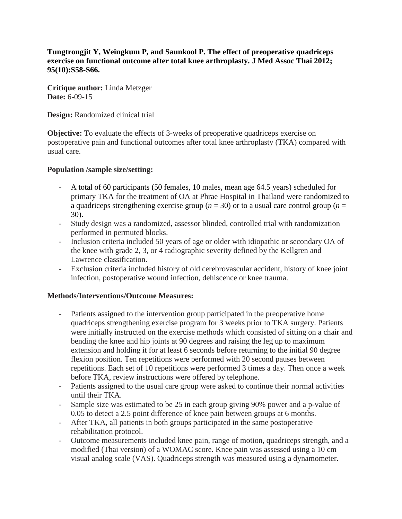**Tungtrongjit Y, Weingkum P, and Saunkool P. The effect of preoperative quadriceps exercise on functional outcome after total knee arthroplasty. J Med Assoc Thai 2012; 95(10):S58-S66.**

**Critique author:** Linda Metzger **Date:** 6-09-15

**Design:** Randomized clinical trial

**Objective:** To evaluate the effects of 3-weeks of preoperative quadriceps exercise on postoperative pain and functional outcomes after total knee arthroplasty (TKA) compared with usual care.

### **Population /sample size/setting:**

- A total of 60 participants (50 females, 10 males, mean age 64.5 years) scheduled for primary TKA for the treatment of OA at Phrae Hospital in Thailand were randomized to a quadriceps strengthening exercise group (*n* = 30) or to a usual care control group (*n* = 30).
- Study design was a randomized, assessor blinded, controlled trial with randomization performed in permuted blocks.
- Inclusion criteria included 50 years of age or older with idiopathic or secondary OA of the knee with grade 2, 3, or 4 radiographic severity defined by the Kellgren and Lawrence classification.
- Exclusion criteria included history of old cerebrovascular accident, history of knee joint infection, postoperative wound infection, dehiscence or knee trauma.

# **Methods/Interventions/Outcome Measures:**

- Patients assigned to the intervention group participated in the preoperative home quadriceps strengthening exercise program for 3 weeks prior to TKA surgery. Patients were initially instructed on the exercise methods which consisted of sitting on a chair and bending the knee and hip joints at 90 degrees and raising the leg up to maximum extension and holding it for at least 6 seconds before returning to the initial 90 degree flexion position. Ten repetitions were performed with 20 second pauses between repetitions. Each set of 10 repetitions were performed 3 times a day. Then once a week before TKA, review instructions were offered by telephone.
- Patients assigned to the usual care group were asked to continue their normal activities until their TKA.
- Sample size was estimated to be 25 in each group giving 90% power and a p-value of 0.05 to detect a 2.5 point difference of knee pain between groups at 6 months.
- After TKA, all patients in both groups participated in the same postoperative rehabilitation protocol.
- Outcome measurements included knee pain, range of motion, quadriceps strength, and a modified (Thai version) of a WOMAC score. Knee pain was assessed using a 10 cm visual analog scale (VAS). Quadriceps strength was measured using a dynamometer.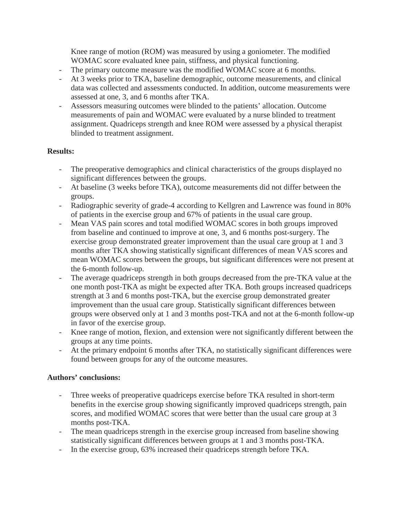Knee range of motion (ROM) was measured by using a goniometer. The modified WOMAC score evaluated knee pain, stiffness, and physical functioning.

- The primary outcome measure was the modified WOMAC score at 6 months.
- At 3 weeks prior to TKA, baseline demographic, outcome measurements, and clinical data was collected and assessments conducted. In addition, outcome measurements were assessed at one, 3, and 6 months after TKA.
- Assessors measuring outcomes were blinded to the patients' allocation. Outcome measurements of pain and WOMAC were evaluated by a nurse blinded to treatment assignment. Quadriceps strength and knee ROM were assessed by a physical therapist blinded to treatment assignment.

# **Results:**

- The preoperative demographics and clinical characteristics of the groups displayed no significant differences between the groups.
- At baseline (3 weeks before TKA), outcome measurements did not differ between the groups.
- Radiographic severity of grade-4 according to Kellgren and Lawrence was found in 80% of patients in the exercise group and 67% of patients in the usual care group.
- Mean VAS pain scores and total modified WOMAC scores in both groups improved from baseline and continued to improve at one, 3, and 6 months post-surgery. The exercise group demonstrated greater improvement than the usual care group at 1 and 3 months after TKA showing statistically significant differences of mean VAS scores and mean WOMAC scores between the groups, but significant differences were not present at the 6-month follow-up.
- The average quadriceps strength in both groups decreased from the pre-TKA value at the one month post-TKA as might be expected after TKA. Both groups increased quadriceps strength at 3 and 6 months post-TKA, but the exercise group demonstrated greater improvement than the usual care group. Statistically significant differences between groups were observed only at 1 and 3 months post-TKA and not at the 6-month follow-up in favor of the exercise group.
- Knee range of motion, flexion, and extension were not significantly different between the groups at any time points.
- At the primary endpoint 6 months after TKA, no statistically significant differences were found between groups for any of the outcome measures.

# **Authors' conclusions:**

- Three weeks of preoperative quadriceps exercise before TKA resulted in short-term benefits in the exercise group showing significantly improved quadriceps strength, pain scores, and modified WOMAC scores that were better than the usual care group at 3 months post-TKA.
- The mean quadriceps strength in the exercise group increased from baseline showing statistically significant differences between groups at 1 and 3 months post-TKA.
- In the exercise group, 63% increased their quadriceps strength before TKA.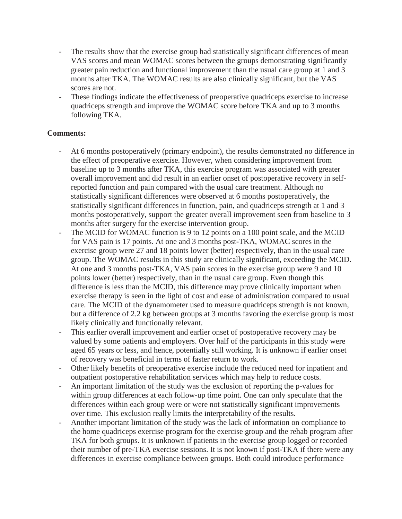- The results show that the exercise group had statistically significant differences of mean VAS scores and mean WOMAC scores between the groups demonstrating significantly greater pain reduction and functional improvement than the usual care group at 1 and 3 months after TKA. The WOMAC results are also clinically significant, but the VAS scores are not.
- These findings indicate the effectiveness of preoperative quadriceps exercise to increase quadriceps strength and improve the WOMAC score before TKA and up to 3 months following TKA.

# **Comments:**

- At 6 months postoperatively (primary endpoint), the results demonstrated no difference in the effect of preoperative exercise. However, when considering improvement from baseline up to 3 months after TKA, this exercise program was associated with greater overall improvement and did result in an earlier onset of postoperative recovery in selfreported function and pain compared with the usual care treatment. Although no statistically significant differences were observed at 6 months postoperatively, the statistically significant differences in function, pain, and quadriceps strength at 1 and 3 months postoperatively, support the greater overall improvement seen from baseline to 3 months after surgery for the exercise intervention group.
- The MCID for WOMAC function is 9 to 12 points on a 100 point scale, and the MCID for VAS pain is 17 points. At one and 3 months post-TKA, WOMAC scores in the exercise group were 27 and 18 points lower (better) respectively, than in the usual care group. The WOMAC results in this study are clinically significant, exceeding the MCID. At one and 3 months post-TKA, VAS pain scores in the exercise group were 9 and 10 points lower (better) respectively, than in the usual care group. Even though this difference is less than the MCID, this difference may prove clinically important when exercise therapy is seen in the light of cost and ease of administration compared to usual care. The MCID of the dynamometer used to measure quadriceps strength is not known, but a difference of 2.2 kg between groups at 3 months favoring the exercise group is most likely clinically and functionally relevant.
- This earlier overall improvement and earlier onset of postoperative recovery may be valued by some patients and employers. Over half of the participants in this study were aged 65 years or less, and hence, potentially still working. It is unknown if earlier onset of recovery was beneficial in terms of faster return to work.
- Other likely benefits of preoperative exercise include the reduced need for inpatient and outpatient postoperative rehabilitation services which may help to reduce costs.
- An important limitation of the study was the exclusion of reporting the p-values for within group differences at each follow-up time point. One can only speculate that the differences within each group were or were not statistically significant improvements over time. This exclusion really limits the interpretability of the results.
- Another important limitation of the study was the lack of information on compliance to the home quadriceps exercise program for the exercise group and the rehab program after TKA for both groups. It is unknown if patients in the exercise group logged or recorded their number of pre-TKA exercise sessions. It is not known if post-TKA if there were any differences in exercise compliance between groups. Both could introduce performance